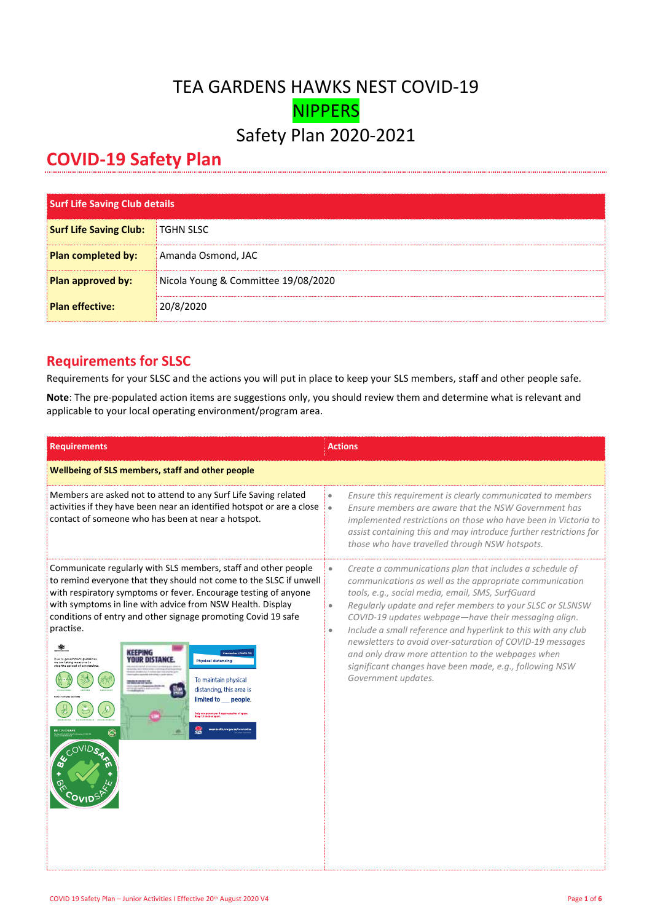## TEA GARDENS HAWKS NEST COVID-19 NIPPERS Safety Plan 2020-2021

## **COVID-19 Safety Plan**

| <b>Surf Life Saving Club details</b> |                                     |
|--------------------------------------|-------------------------------------|
| <b>Surf Life Saving Club:</b>        | <b>TGHN SLSC</b>                    |
| Plan completed by:                   | Amanda Osmond, JAC                  |
| Plan approved by:                    | Nicola Young & Committee 19/08/2020 |
| <b>Plan effective:</b>               | 20/8/2020                           |

## **Requirements for SLSC**

Requirements for your SLSC and the actions you will put in place to keep your SLS members, staff and other people safe.

**Note**: The pre-populated action items are suggestions only, you should review them and determine what is relevant and applicable to your local operating environment/program area.

| <b>Requirements</b>                                                                                                                                                                                                                                                                                                                                                                                                                                                                                                                                                                                                                                                             | <b>Actions</b>                                                                                                                                                                                                                                                                                                                                                                                                                                                                                                                                                                                           |  |  |
|---------------------------------------------------------------------------------------------------------------------------------------------------------------------------------------------------------------------------------------------------------------------------------------------------------------------------------------------------------------------------------------------------------------------------------------------------------------------------------------------------------------------------------------------------------------------------------------------------------------------------------------------------------------------------------|----------------------------------------------------------------------------------------------------------------------------------------------------------------------------------------------------------------------------------------------------------------------------------------------------------------------------------------------------------------------------------------------------------------------------------------------------------------------------------------------------------------------------------------------------------------------------------------------------------|--|--|
| Wellbeing of SLS members, staff and other people                                                                                                                                                                                                                                                                                                                                                                                                                                                                                                                                                                                                                                |                                                                                                                                                                                                                                                                                                                                                                                                                                                                                                                                                                                                          |  |  |
| Members are asked not to attend to any Surf Life Saving related<br>activities if they have been near an identified hotspot or are a close<br>contact of someone who has been at near a hotspot.                                                                                                                                                                                                                                                                                                                                                                                                                                                                                 | Ensure this requirement is clearly communicated to members<br>$\bullet$<br>Ensure members are aware that the NSW Government has<br>$\bullet$<br>implemented restrictions on those who have been in Victoria to<br>assist containing this and may introduce further restrictions for<br>those who have travelled through NSW hotspots.                                                                                                                                                                                                                                                                    |  |  |
| Communicate regularly with SLS members, staff and other people<br>to remind everyone that they should not come to the SLSC if unwell<br>with respiratory symptoms or fever. Encourage testing of anyone<br>with symptoms in line with advice from NSW Health. Display<br>conditions of entry and other signage promoting Covid 19 safe<br>practise.<br>KEEPING<br><b><i>YOUR DISTANC</i></b><br>Due to government guideline<br><b>Physical distancing</b><br>we are taking measures to<br>ton the spread of coron<br>To maintain physical<br>distancing, this area is<br>limited to __ people.<br>.<br>परि one person per 4 square metres of space.<br>aen 1 S motres arms<br>6 | Create a communications plan that includes a schedule of<br>$\bullet$<br>communications as well as the appropriate communication<br>tools, e.g., social media, email, SMS, SurfGuard<br>Regularly update and refer members to your SLSC or SLSNSW<br>$\bullet$<br>COVID-19 updates webpage-have their messaging align.<br>Include a small reference and hyperlink to this with any club<br>$\bullet$<br>newsletters to avoid over-saturation of COVID-19 messages<br>and only draw more attention to the webpages when<br>significant changes have been made, e.g., following NSW<br>Government updates. |  |  |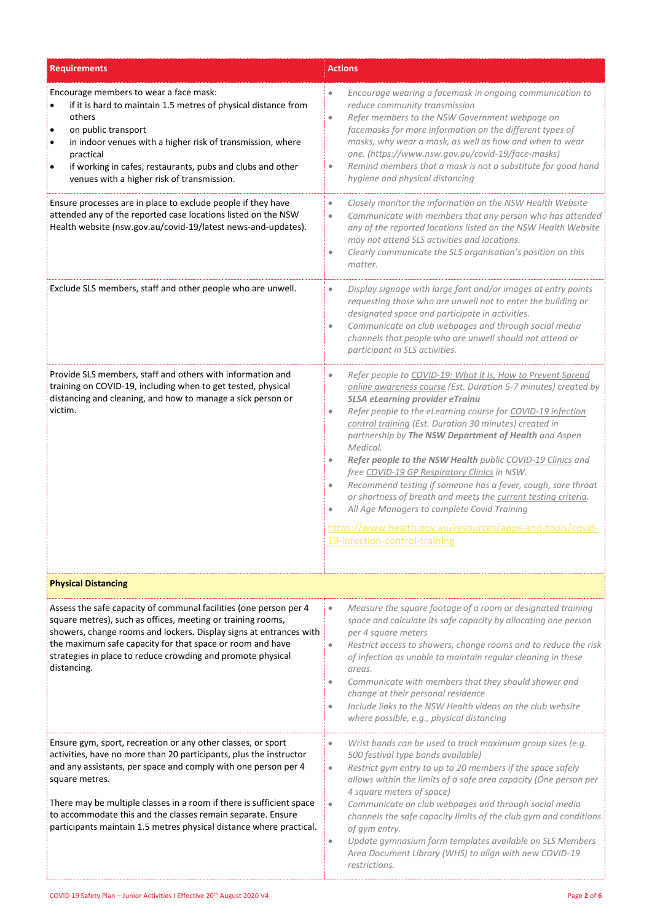| <b>Requirements</b>                                                                                                                                                                                                                                                                                                                                                                                                                  | <b>Actions</b>                                                                                                                                                                                                                                                                                                                                                                                                                                                                                                                                                                                                                                                                                                                                                                                                                      |
|--------------------------------------------------------------------------------------------------------------------------------------------------------------------------------------------------------------------------------------------------------------------------------------------------------------------------------------------------------------------------------------------------------------------------------------|-------------------------------------------------------------------------------------------------------------------------------------------------------------------------------------------------------------------------------------------------------------------------------------------------------------------------------------------------------------------------------------------------------------------------------------------------------------------------------------------------------------------------------------------------------------------------------------------------------------------------------------------------------------------------------------------------------------------------------------------------------------------------------------------------------------------------------------|
| Encourage members to wear a face mask:<br>if it is hard to maintain 1.5 metres of physical distance from<br>$\bullet$<br>others<br>on public transport<br>$\bullet$<br>in indoor venues with a higher risk of transmission, where<br>$\bullet$<br>practical<br>if working in cafes, restaurants, pubs and clubs and other<br>$\bullet$<br>venues with a higher risk of transmission.                                                 | Encourage wearing a facemask in ongoing communication to<br>$\bullet$<br>reduce community transmission<br>Refer members to the NSW Government webpage on<br>$\bullet$<br>facemasks for more information on the different types of<br>masks, why wear a mask, as well as how and when to wear<br>one. (https://www.nsw.gov.au/covid-19/face-masks)<br>Remind members that a mask is not a substitute for good hand<br>$\bullet$<br>hygiene and physical distancing                                                                                                                                                                                                                                                                                                                                                                   |
| Ensure processes are in place to exclude people if they have<br>attended any of the reported case locations listed on the NSW<br>Health website (nsw.gov.au/covid-19/latest news-and-updates).                                                                                                                                                                                                                                       | Closely monitor the information on the NSW Health Website<br>$\bullet$<br>Communicate with members that any person who has attended<br>$\bullet$<br>any of the reported locations listed on the NSW Health Website<br>may not attend SLS activities and locations.<br>Clearly communicate the SLS organisation's position on this<br>$\bullet$<br>matter.                                                                                                                                                                                                                                                                                                                                                                                                                                                                           |
| Exclude SLS members, staff and other people who are unwell.                                                                                                                                                                                                                                                                                                                                                                          | Display signage with large font and/or images at entry points<br>$\bullet$<br>requesting those who are unwell not to enter the building or<br>designated space and participate in activities.<br>Communicate on club webpages and through social media<br>$\bullet$<br>channels that people who are unwell should not attend or<br>participant in SLS activities.                                                                                                                                                                                                                                                                                                                                                                                                                                                                   |
| Provide SLS members, staff and others with information and<br>training on COVID-19, including when to get tested, physical<br>distancing and cleaning, and how to manage a sick person or<br>victim.                                                                                                                                                                                                                                 | Refer people to COVID-19: What It Is, How to Prevent Spread<br>$\bullet$<br>online awareness course (Est. Duration 5-7 minutes) created by<br><b>SLSA eLearning provider eTrainu</b><br>Refer people to the eLearning course for COVID-19 infection<br>$\bullet$<br>control training (Est. Duration 30 minutes) created in<br>partnership by The NSW Department of Health and Aspen<br>Medical.<br>Refer people to the NSW Health public COVID-19 Clinics and<br>$\bullet$<br>free COVID-19 GP Respiratory Clinics in NSW.<br>Recommend testing if someone has a fever, cough, sore throat<br>$\bullet$<br>or shortness of breath and meets the current testing criteria.<br>All Age Managers to complete Covid Training<br>$\bullet$<br>https://www.health.gov.au/resources/apps-and-tools/covid-<br>19-infection-control-training |
| <b>Physical Distancing</b>                                                                                                                                                                                                                                                                                                                                                                                                           |                                                                                                                                                                                                                                                                                                                                                                                                                                                                                                                                                                                                                                                                                                                                                                                                                                     |
| Assess the safe capacity of communal facilities (one person per 4<br>square metres), such as offices, meeting or training rooms,<br>showers, change rooms and lockers. Display signs at entrances with<br>the maximum safe capacity for that space or room and have<br>strategies in place to reduce crowding and promote physical<br>distancing.                                                                                    | Measure the square footage of a room or designated training<br>$\bullet$<br>space and calculate its safe capacity by allocating one person<br>per 4 square meters<br>Restrict access to showers, change rooms and to reduce the risk<br>$\bullet$<br>of infection as unable to maintain regular cleaning in these<br>areas.<br>Communicate with members that they should shower and<br>$\bullet$<br>change at their personal residence<br>Include links to the NSW Health videos on the club website<br>$\bullet$<br>where possible, e.g., physical distancing                                                                                                                                                                                                                                                                      |
| Ensure gym, sport, recreation or any other classes, or sport<br>activities, have no more than 20 participants, plus the instructor<br>and any assistants, per space and comply with one person per 4<br>square metres.<br>There may be multiple classes in a room if there is sufficient space<br>to accommodate this and the classes remain separate. Ensure<br>participants maintain 1.5 metres physical distance where practical. | Wrist bands can be used to track maximum group sizes (e.g.<br>$\bullet$<br>500 festival type bands available)<br>Restrict gym entry to up to 20 members if the space safely<br>$\bullet$<br>allows within the limits of a safe area capacity (One person per<br>4 square meters of space)<br>Communicate on club webpages and through social media<br>$\bullet$<br>channels the safe capacity limits of the club gym and conditions<br>of gym entry.<br>Update gymnasium form templates available on SLS Members<br>$\bullet$<br>Area Document Library (WHS) to align with new COVID-19<br>restrictions.                                                                                                                                                                                                                            |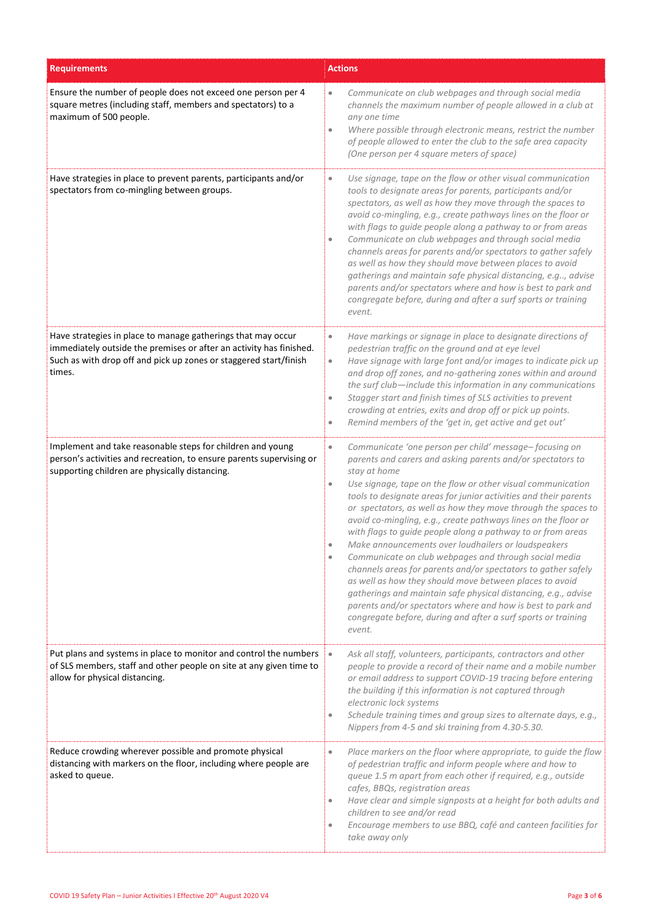| <b>Requirements</b>                                                                                                                                                                                                | <b>Actions</b>                                                                                                                                                                                                                                                                                                                                                                                                                                                                                                                                                                                                                                                                                                                                                                                                                                                                                                                                              |  |
|--------------------------------------------------------------------------------------------------------------------------------------------------------------------------------------------------------------------|-------------------------------------------------------------------------------------------------------------------------------------------------------------------------------------------------------------------------------------------------------------------------------------------------------------------------------------------------------------------------------------------------------------------------------------------------------------------------------------------------------------------------------------------------------------------------------------------------------------------------------------------------------------------------------------------------------------------------------------------------------------------------------------------------------------------------------------------------------------------------------------------------------------------------------------------------------------|--|
| Ensure the number of people does not exceed one person per 4<br>square metres (including staff, members and spectators) to a<br>maximum of 500 people.                                                             | Communicate on club webpages and through social media<br>$\bullet$<br>channels the maximum number of people allowed in a club at<br>any one time<br>Where possible through electronic means, restrict the number<br>$\bullet$<br>of people allowed to enter the club to the safe area capacity<br>(One person per 4 square meters of space)                                                                                                                                                                                                                                                                                                                                                                                                                                                                                                                                                                                                                 |  |
| Have strategies in place to prevent parents, participants and/or<br>spectators from co-mingling between groups.                                                                                                    | Use signage, tape on the flow or other visual communication<br>$\bullet$<br>tools to designate areas for parents, participants and/or<br>spectators, as well as how they move through the spaces to<br>avoid co-mingling, e.g., create pathways lines on the floor or<br>with flags to guide people along a pathway to or from areas<br>Communicate on club webpages and through social media<br>$\bullet$<br>channels areas for parents and/or spectators to gather safely<br>as well as how they should move between places to avoid<br>gatherings and maintain safe physical distancing, e.g, advise<br>parents and/or spectators where and how is best to park and<br>congregate before, during and after a surf sports or training<br>event.                                                                                                                                                                                                           |  |
| Have strategies in place to manage gatherings that may occur<br>immediately outside the premises or after an activity has finished.<br>Such as with drop off and pick up zones or staggered start/finish<br>times. | Have markings or signage in place to designate directions of<br>$\bullet$<br>pedestrian traffic on the ground and at eye level<br>Have signage with large font and/or images to indicate pick up<br>$\bullet$<br>and drop off zones, and no-gathering zones within and around<br>the surf club-include this information in any communications<br>Stagger start and finish times of SLS activities to prevent<br>$\bullet$<br>crowding at entries, exits and drop off or pick up points.<br>Remind members of the 'get in, get active and get out'<br>$\bullet$                                                                                                                                                                                                                                                                                                                                                                                              |  |
| Implement and take reasonable steps for children and young<br>person's activities and recreation, to ensure parents supervising or<br>supporting children are physically distancing.                               | Communicate 'one person per child' message-focusing on<br>$\bullet$<br>parents and carers and asking parents and/or spectators to<br>stay at home<br>Use signage, tape on the flow or other visual communication<br>$\bullet$<br>tools to designate areas for junior activities and their parents<br>or spectators, as well as how they move through the spaces to<br>avoid co-mingling, e.g., create pathways lines on the floor or<br>with flags to guide people along a pathway to or from areas<br>Make announcements over loudhailers or loudspeakers<br>Communicate on club webpages and through social media<br>channels areas for parents and/or spectators to gather safely<br>as well as how they should move between places to avoid<br>gatherings and maintain safe physical distancing, e.g., advise<br>parents and/or spectators where and how is best to park and<br>congregate before, during and after a surf sports or training<br>event. |  |
| Put plans and systems in place to monitor and control the numbers<br>of SLS members, staff and other people on site at any given time to<br>allow for physical distancing.                                         | Ask all staff, volunteers, participants, contractors and other<br>$\bullet$<br>people to provide a record of their name and a mobile number<br>or email address to support COVID-19 tracing before entering<br>the building if this information is not captured through<br>electronic lock systems<br>Schedule training times and group sizes to alternate days, e.g.,<br>$\bullet$<br>Nippers from 4-5 and ski training from 4.30-5.30.                                                                                                                                                                                                                                                                                                                                                                                                                                                                                                                    |  |
| Reduce crowding wherever possible and promote physical<br>distancing with markers on the floor, including where people are<br>asked to queue.                                                                      | Place markers on the floor where appropriate, to guide the flow<br>$\bullet$<br>of pedestrian traffic and inform people where and how to<br>queue 1.5 m apart from each other if required, e.g., outside<br>cafes, BBQs, registration areas<br>Have clear and simple signposts at a height for both adults and<br>$\bullet$<br>children to see and/or read<br>Encourage members to use BBQ, café and canteen facilities for<br>$\bullet$<br>take away only                                                                                                                                                                                                                                                                                                                                                                                                                                                                                                  |  |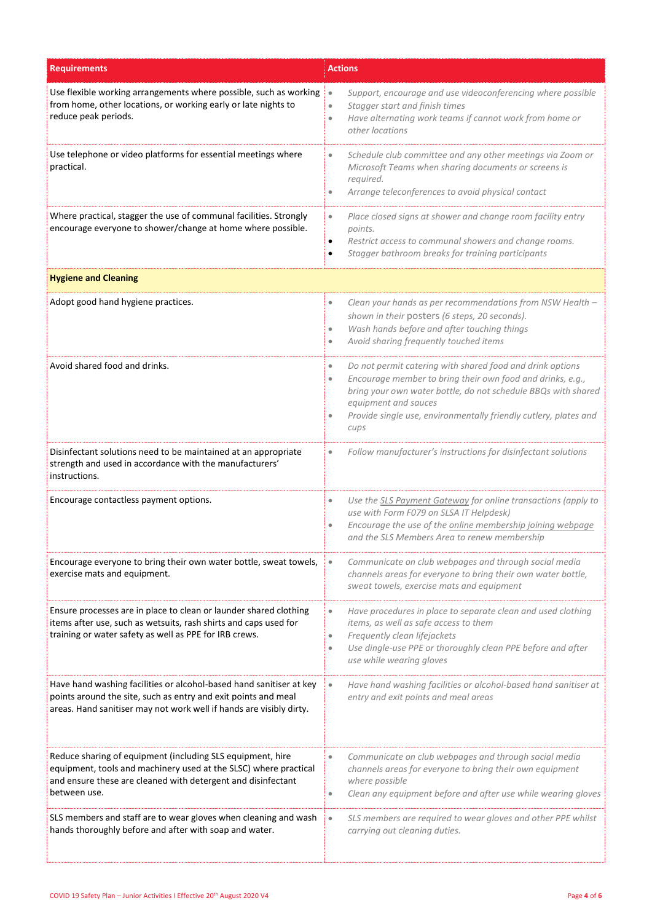| <b>Requirements</b>                                                                                                                                                                                            | <b>Actions</b>                                                                                                                                                                                                                                                                                                                      |  |
|----------------------------------------------------------------------------------------------------------------------------------------------------------------------------------------------------------------|-------------------------------------------------------------------------------------------------------------------------------------------------------------------------------------------------------------------------------------------------------------------------------------------------------------------------------------|--|
| Use flexible working arrangements where possible, such as working<br>from home, other locations, or working early or late nights to<br>reduce peak periods.                                                    | Support, encourage and use videoconferencing where possible<br>$\bullet$<br>Stagger start and finish times<br>$\bullet$<br>Have alternating work teams if cannot work from home or<br>$\bullet$<br>other locations                                                                                                                  |  |
| Use telephone or video platforms for essential meetings where<br>practical.                                                                                                                                    | Schedule club committee and any other meetings via Zoom or<br>$\bullet$<br>Microsoft Teams when sharing documents or screens is<br>required.<br>Arrange teleconferences to avoid physical contact<br>$\bullet$                                                                                                                      |  |
| Where practical, stagger the use of communal facilities. Strongly<br>encourage everyone to shower/change at home where possible.                                                                               | Place closed signs at shower and change room facility entry<br>$\bullet$<br>points.<br>Restrict access to communal showers and change rooms.<br>$\bullet$<br>Stagger bathroom breaks for training participants<br>$\bullet$                                                                                                         |  |
| <b>Hygiene and Cleaning</b>                                                                                                                                                                                    |                                                                                                                                                                                                                                                                                                                                     |  |
| Adopt good hand hygiene practices.                                                                                                                                                                             | Clean your hands as per recommendations from NSW Health -<br>$\bullet$<br>shown in their posters (6 steps, 20 seconds).<br>Wash hands before and after touching things<br>$\bullet$<br>Avoid sharing frequently touched items<br>$\bullet$                                                                                          |  |
| Avoid shared food and drinks.                                                                                                                                                                                  | Do not permit catering with shared food and drink options<br>$\bullet$<br>Encourage member to bring their own food and drinks, e.g.,<br>$\bullet$<br>bring your own water bottle, do not schedule BBQs with shared<br>equipment and sauces<br>Provide single use, environmentally friendly cutlery, plates and<br>$\bullet$<br>cups |  |
| Disinfectant solutions need to be maintained at an appropriate<br>strength and used in accordance with the manufacturers'<br>instructions.                                                                     | Follow manufacturer's instructions for disinfectant solutions<br>$\bullet$                                                                                                                                                                                                                                                          |  |
| Encourage contactless payment options.                                                                                                                                                                         | Use the SLS Payment Gateway for online transactions (apply to<br>$\bullet$<br>use with Form F079 on SLSA IT Helpdesk)<br>Encourage the use of the online membership joining webpage<br>$\bullet$<br>and the SLS Members Area to renew membership                                                                                    |  |
| Encourage everyone to bring their own water bottle, sweat towels,<br>exercise mats and equipment.                                                                                                              | Communicate on club webpages and through social media<br>$\bullet$<br>channels areas for everyone to bring their own water bottle,<br>sweat towels, exercise mats and equipment                                                                                                                                                     |  |
| Ensure processes are in place to clean or launder shared clothing<br>items after use, such as wetsuits, rash shirts and caps used for<br>training or water safety as well as PPE for IRB crews.                | Have procedures in place to separate clean and used clothing<br>$\bullet$<br>items, as well as safe access to them<br>Frequently clean lifejackets<br>$\bullet$<br>Use dingle-use PPE or thoroughly clean PPE before and after<br>$\bullet$<br>use while wearing gloves                                                             |  |
| Have hand washing facilities or alcohol-based hand sanitiser at key<br>points around the site, such as entry and exit points and meal<br>areas. Hand sanitiser may not work well if hands are visibly dirty.   | Have hand washing facilities or alcohol-based hand sanitiser at<br>$\bullet$<br>entry and exit points and meal areas                                                                                                                                                                                                                |  |
| Reduce sharing of equipment (including SLS equipment, hire<br>equipment, tools and machinery used at the SLSC) where practical<br>and ensure these are cleaned with detergent and disinfectant<br>between use. | Communicate on club webpages and through social media<br>$\bullet$<br>channels areas for everyone to bring their own equipment<br>where possible<br>Clean any equipment before and after use while wearing gloves<br>$\bullet$                                                                                                      |  |
| SLS members and staff are to wear gloves when cleaning and wash<br>hands thoroughly before and after with soap and water.                                                                                      | SLS members are required to wear gloves and other PPE whilst<br>$\bullet$<br>carrying out cleaning duties.                                                                                                                                                                                                                          |  |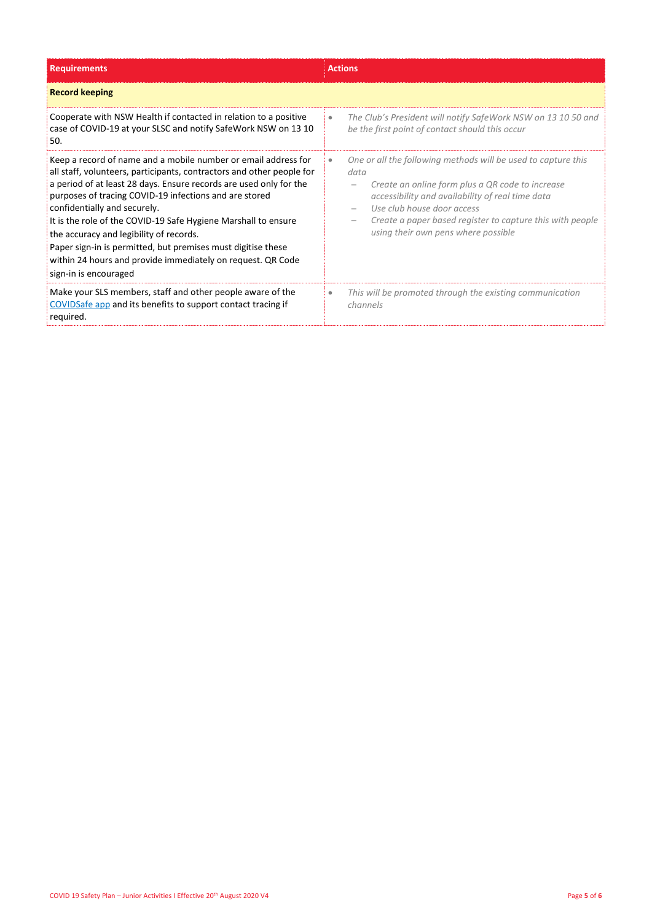| <b>Requirements</b>                                                                                                                                                                                                                                                                                                                                                                                                                                                                                                                                                          | <b>Actions</b>                                                                                                                                                                                                                                                                                                  |
|------------------------------------------------------------------------------------------------------------------------------------------------------------------------------------------------------------------------------------------------------------------------------------------------------------------------------------------------------------------------------------------------------------------------------------------------------------------------------------------------------------------------------------------------------------------------------|-----------------------------------------------------------------------------------------------------------------------------------------------------------------------------------------------------------------------------------------------------------------------------------------------------------------|
| <b>Record keeping</b>                                                                                                                                                                                                                                                                                                                                                                                                                                                                                                                                                        |                                                                                                                                                                                                                                                                                                                 |
| Cooperate with NSW Health if contacted in relation to a positive<br>case of COVID-19 at your SLSC and notify SafeWork NSW on 13 10<br>50.                                                                                                                                                                                                                                                                                                                                                                                                                                    | The Club's President will notify SafeWork NSW on 13 10 50 and<br>$\bullet$<br>be the first point of contact should this occur                                                                                                                                                                                   |
| Keep a record of name and a mobile number or email address for<br>all staff, volunteers, participants, contractors and other people for<br>a period of at least 28 days. Ensure records are used only for the<br>purposes of tracing COVID-19 infections and are stored<br>confidentially and securely.<br>It is the role of the COVID-19 Safe Hygiene Marshall to ensure<br>the accuracy and legibility of records.<br>Paper sign-in is permitted, but premises must digitise these<br>within 24 hours and provide immediately on request. QR Code<br>sign-in is encouraged | One or all the following methods will be used to capture this<br>data<br>Create an online form plus a QR code to increase<br>accessibility and availability of real time data<br>Use club house door access<br>Create a paper based register to capture this with people<br>using their own pens where possible |
| Make your SLS members, staff and other people aware of the<br>COVIDSafe app and its benefits to support contact tracing if<br>required.                                                                                                                                                                                                                                                                                                                                                                                                                                      | This will be promoted through the existing communication<br>channels                                                                                                                                                                                                                                            |